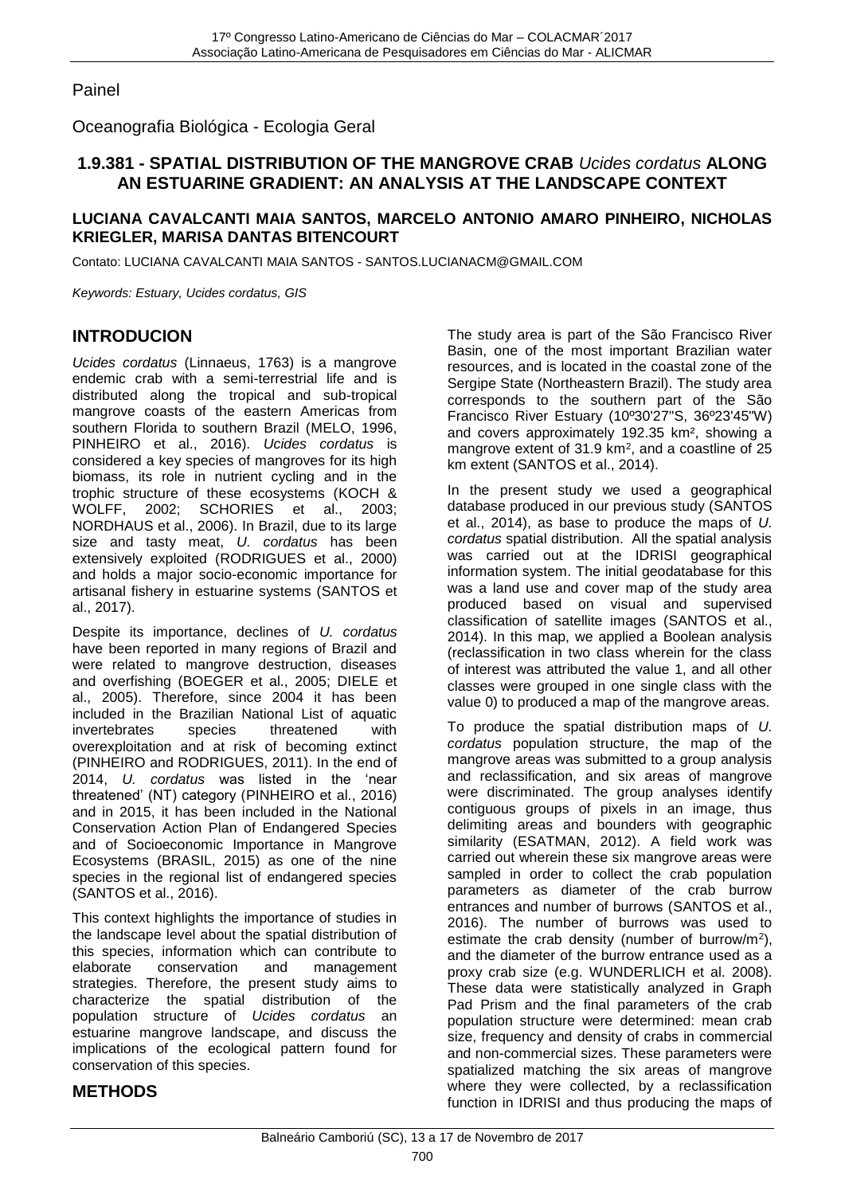Painel

Oceanografia Biológica - Ecologia Geral

# **1.9.381 - SPATIAL DISTRIBUTION OF THE MANGROVE CRAB** *Ucides cordatus* **ALONG AN ESTUARINE GRADIENT: AN ANALYSIS AT THE LANDSCAPE CONTEXT**

#### **LUCIANA CAVALCANTI MAIA SANTOS, MARCELO ANTONIO AMARO PINHEIRO, NICHOLAS KRIEGLER, MARISA DANTAS BITENCOURT**

Contato: LUCIANA CAVALCANTI MAIA SANTOS - SANTOS.LUCIANACM@GMAIL.COM

*Keywords: Estuary, Ucides cordatus, GIS*

# **INTRODUCION**

*Ucides cordatus* (Linnaeus, 1763) is a mangrove endemic crab with a semi-terrestrial life and is distributed along the tropical and sub-tropical mangrove coasts of the eastern Americas from southern Florida to southern Brazil (MELO, 1996, PINHEIRO et al., 2016). *Ucides cordatus* is considered a key species of mangroves for its high biomass, its role in nutrient cycling and in the trophic structure of these ecosystems (KOCH & WOLFF, 2002; SCHORIES et al., 2003; NORDHAUS et al., 2006). In Brazil, due to its large size and tasty meat, *U. cordatus* has been extensively exploited (RODRIGUES et al., 2000) and holds a major socio-economic importance for artisanal fishery in estuarine systems (SANTOS et al., 2017).

Despite its importance, declines of *U. cordatus* have been reported in many regions of Brazil and were related to mangrove destruction, diseases and overfishing (BOEGER et al., 2005; DIELE et al., 2005). Therefore, since 2004 it has been included in the Brazilian National List of aquatic invertebrates species threatened with overexploitation and at risk of becoming extinct (PINHEIRO and RODRIGUES, 2011). In the end of 2014, *U. cordatus* was listed in the 'near threatened' (NT) category (PINHEIRO et al., 2016) and in 2015, it has been included in the National Conservation Action Plan of Endangered Species and of Socioeconomic Importance in Mangrove Ecosystems (BRASIL, 2015) as one of the nine species in the regional list of endangered species (SANTOS et al., 2016).

This context highlights the importance of studies in the landscape level about the spatial distribution of this species, information which can contribute to elaborate conservation and management strategies. Therefore, the present study aims to characterize the spatial distribution of the population structure of *Ucides cordatus* an estuarine mangrove landscape, and discuss the implications of the ecological pattern found for conservation of this species.

**METHODS**

The study area is part of the São Francisco River Basin, one of the most important Brazilian water resources, and is located in the coastal zone of the Sergipe State (Northeastern Brazil). The study area corresponds to the southern part of the São Francisco River Estuary (10º30'27"S, 36º23'45"W) and covers approximately 192.35 km², showing a mangrove extent of  $31.9 \text{ km}^2$ , and a coastline of 25 km extent (SANTOS et al., 2014).

In the present study we used a geographical database produced in our previous study (SANTOS et al., 2014), as base to produce the maps of *U. cordatus* spatial distribution. All the spatial analysis was carried out at the IDRISI geographical information system. The initial geodatabase for this was a land use and cover map of the study area produced based on visual and supervised classification of satellite images (SANTOS et al., 2014). In this map, we applied a Boolean analysis (reclassification in two class wherein for the class of interest was attributed the value 1, and all other classes were grouped in one single class with the value 0) to produced a map of the mangrove areas.

To produce the spatial distribution maps of *U. cordatus* population structure, the map of the mangrove areas was submitted to a group analysis and reclassification, and six areas of mangrove were discriminated. The group analyses identify contiguous groups of pixels in an image, thus delimiting areas and bounders with geographic similarity (ESATMAN, 2012). A field work was carried out wherein these six mangrove areas were sampled in order to collect the crab population parameters as diameter of the crab burrow entrances and number of burrows (SANTOS et al., 2016). The number of burrows was used to estimate the crab density (number of burrow/ $m<sup>2</sup>$ ), and the diameter of the burrow entrance used as a proxy crab size (e.g. WUNDERLICH et al. 2008). These data were statistically analyzed in Graph Pad Prism and the final parameters of the crab population structure were determined: mean crab size, frequency and density of crabs in commercial and non-commercial sizes. These parameters were spatialized matching the six areas of mangrove where they were collected, by a reclassification function in IDRISI and thus producing the maps of

#### Balneário Camboriú (SC), 13 a 17 de Novembro de 2017 700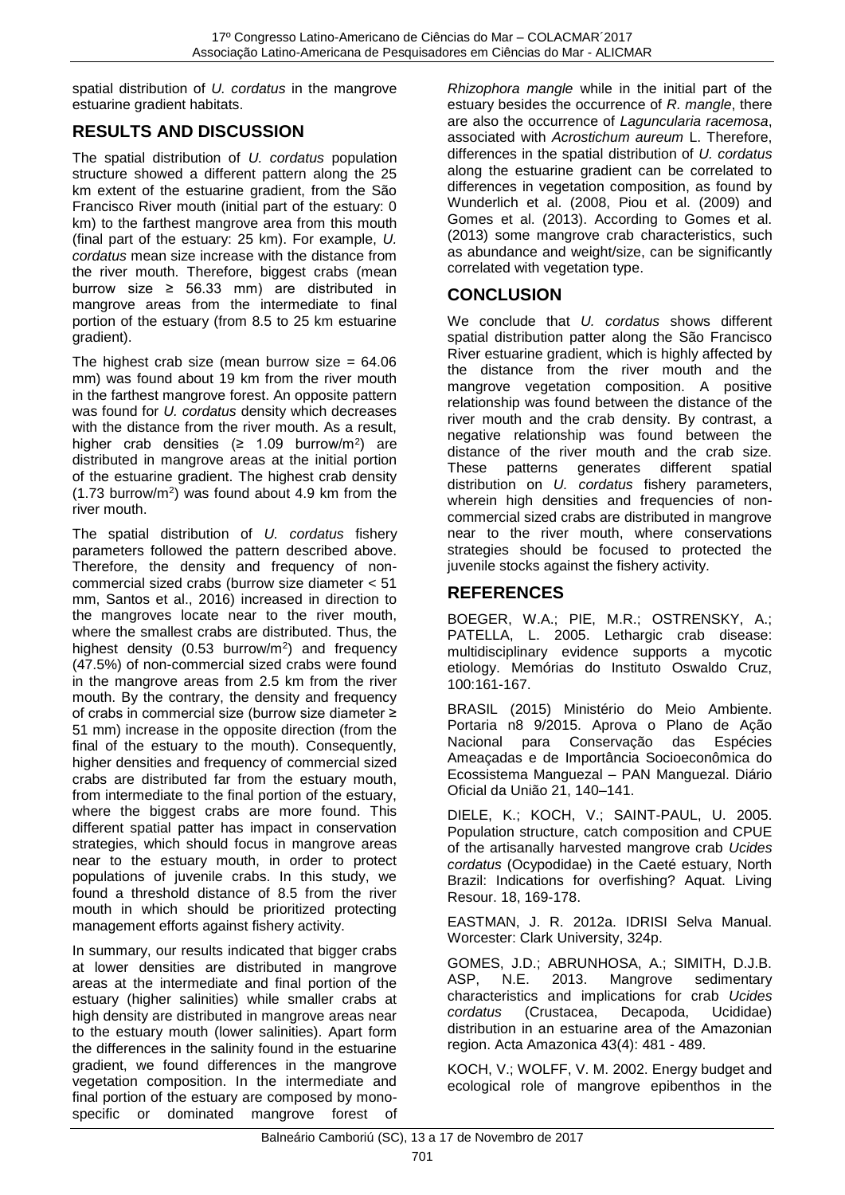spatial distribution of *U. cordatus* in the mangrove estuarine gradient habitats.

# **RESULTS AND DISCUSSION**

The spatial distribution of *U. cordatus* population structure showed a different pattern along the 25 km extent of the estuarine gradient, from the São Francisco River mouth (initial part of the estuary: 0 km) to the farthest mangrove area from this mouth (final part of the estuary: 25 km). For example, *U. cordatus* mean size increase with the distance from the river mouth. Therefore, biggest crabs (mean burrow size  $\geq$  56.33 mm) are distributed in mangrove areas from the intermediate to final portion of the estuary (from 8.5 to 25 km estuarine gradient).

The highest crab size (mean burrow size  $= 64.06$ ) mm) was found about 19 km from the river mouth in the farthest mangrove forest. An opposite pattern was found for *U. cordatus* density which decreases with the distance from the river mouth. As a result, higher crab densities  $(≥ 1.09$  burrow/m<sup>2</sup>) are distributed in mangrove areas at the initial portion of the estuarine gradient. The highest crab density (1.73 burrow/m<sup>2</sup> ) was found about 4.9 km from the river mouth.

The spatial distribution of *U. cordatus* fishery parameters followed the pattern described above. Therefore, the density and frequency of noncommercial sized crabs (burrow size diameter < 51 mm, Santos et al., 2016) increased in direction to the mangroves locate near to the river mouth, where the smallest crabs are distributed. Thus, the highest density (0.53 burrow/m<sup>2</sup>) and frequency (47.5%) of non-commercial sized crabs were found in the mangrove areas from 2.5 km from the river mouth. By the contrary, the density and frequency of crabs in commercial size (burrow size diameter ≥ 51 mm) increase in the opposite direction (from the final of the estuary to the mouth). Consequently, higher densities and frequency of commercial sized crabs are distributed far from the estuary mouth, from intermediate to the final portion of the estuary, where the biggest crabs are more found. This different spatial patter has impact in conservation strategies, which should focus in mangrove areas near to the estuary mouth, in order to protect populations of juvenile crabs. In this study, we found a threshold distance of 8.5 from the river mouth in which should be prioritized protecting management efforts against fishery activity.

In summary, our results indicated that bigger crabs at lower densities are distributed in mangrove areas at the intermediate and final portion of the estuary (higher salinities) while smaller crabs at high density are distributed in mangrove areas near to the estuary mouth (lower salinities). Apart form the differences in the salinity found in the estuarine gradient, we found differences in the mangrove vegetation composition. In the intermediate and final portion of the estuary are composed by monospecific or dominated mangrove forest of

*Rhizophora mangle* while in the initial part of the estuary besides the occurrence of *R. mangle*, there are also the occurrence of *Laguncularia racemosa*, associated with *Acrostichum aureum* L. Therefore, differences in the spatial distribution of *U. cordatus* along the estuarine gradient can be correlated to differences in vegetation composition, as found by Wunderlich et al. (2008, Piou et al. (2009) and Gomes et al. (2013). According to Gomes et al. (2013) some mangrove crab characteristics, such as abundance and weight/size, can be significantly correlated with vegetation type.

# **CONCLUSION**

We conclude that *U. cordatus* shows different spatial distribution patter along the São Francisco River estuarine gradient, which is highly affected by the distance from the river mouth and the mangrove vegetation composition. A positive relationship was found between the distance of the river mouth and the crab density. By contrast, a negative relationship was found between the distance of the river mouth and the crab size. These patterns generates different spatial distribution on *U. cordatus* fishery parameters, wherein high densities and frequencies of noncommercial sized crabs are distributed in mangrove near to the river mouth, where conservations strategies should be focused to protected the juvenile stocks against the fishery activity.

# **REFERENCES**

BOEGER, W.A.; PIE, M.R.; OSTRENSKY, A.; PATELLA, L. 2005. Lethargic crab disease: multidisciplinary evidence supports a mycotic etiology. Memórias do Instituto Oswaldo Cruz, 100:161-167.

BRASIL (2015) Ministério do Meio Ambiente. Portaria n8 9/2015. Aprova o Plano de Ação Nacional para Conservação das Espécies Ameaçadas e de Importância Socioeconômica do Ecossistema Manguezal – PAN Manguezal. Diário Oficial da União 21, 140–141.

DIELE, K.; KOCH, V.; SAINT-PAUL, U. 2005. Population structure, catch composition and CPUE of the artisanally harvested mangrove crab *Ucides cordatus* (Ocypodidae) in the Caeté estuary, North Brazil: Indications for overfishing? Aquat. Living Resour. 18, 169-178.

EASTMAN, J. R. 2012a. IDRISI Selva Manual. Worcester: Clark University, 324p.

GOMES, J.D.; ABRUNHOSA, A.; SIMITH, D.J.B. ASP, N.E. 2013. Mangrove sedimentary characteristics and implications for crab *Ucides cordatus* (Crustacea, Decapoda, Ucididae) distribution in an estuarine area of the Amazonian region. Acta Amazonica 43(4): 481 - 489.

KOCH, V.; WOLFF, V. M. 2002. Energy budget and ecological role of mangrove epibenthos in the